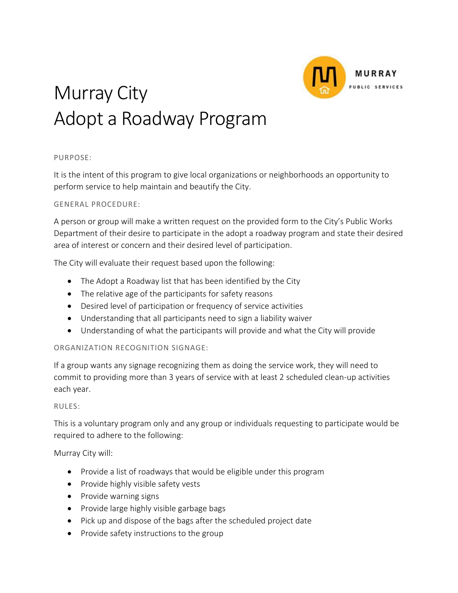

# Murray City Adopt a Roadway Program

## PURPOSE:

It is the intent of this program to give local organizations or neighborhoods an opportunity to perform service to help maintain and beautify the City.

## GENERAL PROCEDURE:

A person or group will make a written request on the provided form to the City's Public Works Department of their desire to participate in the adopt a roadway program and state their desired area of interest or concern and their desired level of participation.

The City will evaluate their request based upon the following:

- The Adopt a Roadway list that has been identified by the City
- The relative age of the participants for safety reasons
- Desired level of participation or frequency of service activities
- Understanding that all participants need to sign a liability waiver
- Understanding of what the participants will provide and what the City will provide

## ORGANIZATION RECOGNITION SIGNAGE:

If a group wants any signage recognizing them as doing the service work, they will need to commit to providing more than 3 years of service with at least 2 scheduled clean-up activities each year.

## RULES:

This is a voluntary program only and any group or individuals requesting to participate would be required to adhere to the following:

Murray City will:

- Provide a list of roadways that would be eligible under this program
- Provide highly visible safety vests
- Provide warning signs
- Provide large highly visible garbage bags
- Pick up and dispose of the bags after the scheduled project date
- Provide safety instructions to the group